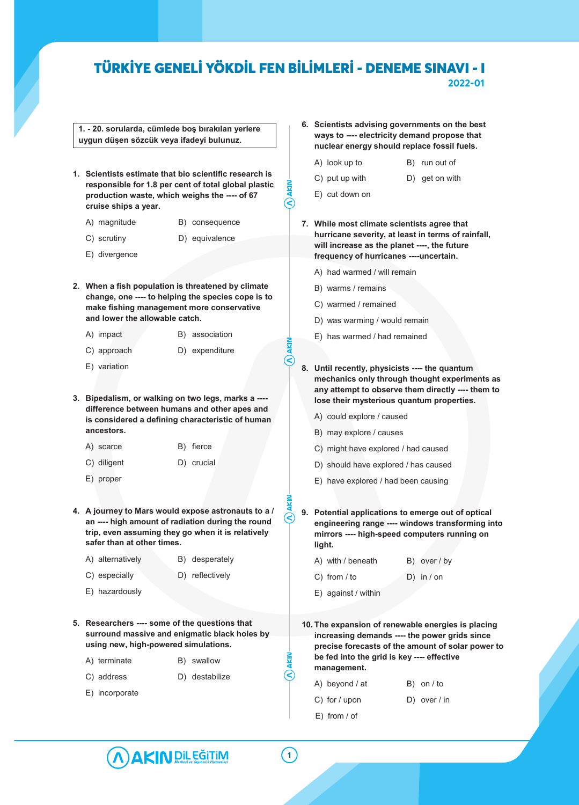୧

**1. - 20. sorularda, cümlede boş bırakılan yerlere uygun düşen sözcük veya ifadeyi bulunuz.**

- **1. Scientists estimate that bio scientific research is responsible for 1.8 per cent of total global plastic production waste, which weighs the ---- of 67 cruise ships a year.**
	- A) magnitude B) consequence
	- C) scrutiny D) equivalence
	- E) divergence
- **2. When a fish population is threatened by climate change, one ---- to helping the species cope is to make fishing management more conservative and lower the allowable catch.**
	- A) impact B) association
	- C) approach D) expenditure
	- E) variation
- **3. Bipedalism, or walking on two legs, marks a --- difference between humans and other apes and is considered a defining characteristic of human ancestors.**
	- A) scarce B) fierce
	- C) diligent D) crucial
	- E) proper
- **4. A journey to Mars would expose astronauts to a / an ---- high amount of radiation during the round trip, even assuming they go when it is relatively safer than at other times.**
	- A) alternatively B) desperately
	- C) especially D) reflectively
	- E) hazardously
- **5. Researchers ---- some of the questions that surround massive and enigmatic black holes by using new, high-powered simulations.**
	- A) terminate B) swallow
	- C) address D) destabilize
	- E) incorporate
- **6. Scientists advising governments on the best ways to ---- electricity demand propose that nuclear energy should replace fossil fuels.**
	- A) look up to B) run out of
	- C) put up with D) get on with
	- E) cut down on
- **7. While most climate scientists agree that hurricane severity, at least in terms of rainfall, will increase as the planet ----, the future frequency of hurricanes ----uncertain.**
	- A) had warmed / will remain
	- B) warms / remains
	- C) warmed / remained
	- D) was warming / would remain
	- E) has warmed / had remained
- **8. Until recently, physicists ---- the quantum mechanics only through thought experiments as any attempt to observe them directly ---- them to lose their mysterious quantum properties.**
	- A) could explore / caused
	- B) may explore / causes
	- C) might have explored / had caused
	- D) should have explored / has caused
	- E) have explored / had been causing
- **9. Potential applications to emerge out of optical engineering range ---- windows transforming into mirrors ---- high-speed computers running on light.**
	- A) with / beneath B) over / by
	- C) from / to D) in / on
	- E) against / within
- **10. The expansion of renewable energies is placing increasing demands ---- the power grids since precise forecasts of the amount of solar power to be fed into the grid is key ---- effective management.**
	- A) beyond / at B) on / to C) for / upon D) over / in
	- E) from / of

**1**

E)

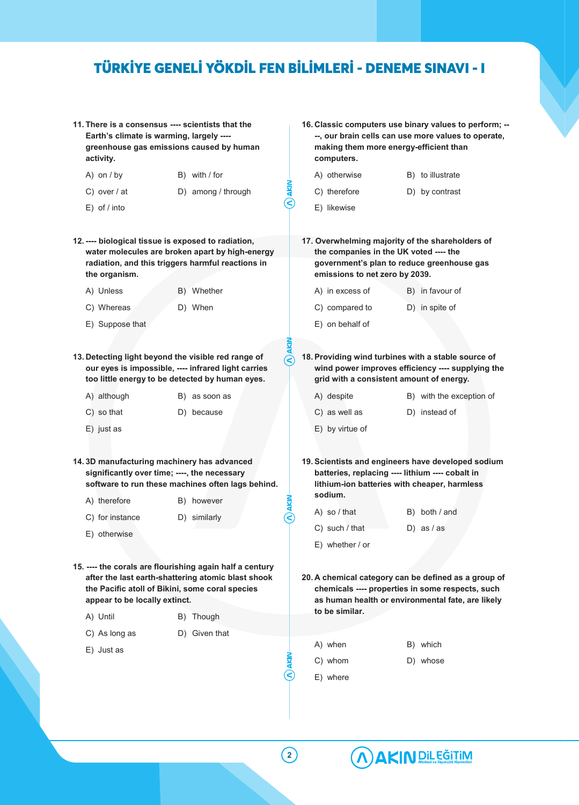- **11. There is a consensus ---- scientists that the Earth's climate is warming, largely --- greenhouse gas emissions caused by human activity.**
	- A) on / by B) with / for
	- C) over / at D) among / through
	- E) of / into
- **12. ---- biological tissue is exposed to radiation, water molecules are broken apart by high-energy radiation, and this triggers harmful reactions in the organism.**
	- A) Unless B) Whether
	- C) Whereas D) When
	- E) Suppose that
- **13. Detecting light beyond the visible red range of our eyes is impossible, ---- infrared light carries too little energy to be detected by human eyes.**

| A) although | B) as soon as |  |
|-------------|---------------|--|
| C) so that  | D) because    |  |

- E) just as
- **14. 3D manufacturing machinery has advanced significantly over time; ----, the necessary software to run these machines often lags behind.**
	- A) therefore B) however
	- C) for instance D) similarly
	- E) otherwise
- **15. ---- the corals are flourishing again half a century after the last earth-shattering atomic blast shook the Pacific atoll of Bikini, some coral species appear to be locally extinct.**
	- A) Until B) Though
	- C) As long as D) Given that
	- E) Just as
- **16. Classic computers use binary values to perform; -- --, our brain cells can use more values to operate, making them more energy-efficient than computers.**
	- A) otherwise B) to illustrate
		-
	- C) therefore D) by contrast
- - E) likewise
- **17. Overwhelming majority of the shareholders of the companies in the UK voted ---- the government's plan to reduce greenhouse gas emissions to net zero by 2039.** 
	- A) in excess of B) in favour of
	- C) compared to D) in spite of
	- E) on behalf of
- **18. Providing wind turbines with a stable source of wind power improves efficiency ---- supplying the grid with a consistent amount of energy.**
	- A) despite B) with the exception of C) as well as D) instead of
	- E) by virtue of
- **19. Scientists and engineers have developed sodium batteries, replacing ---- lithium ---- cobalt in lithium-ion batteries with cheaper, harmless sodium.**
	- A) so / that B) both / and
	- $C$ ) such / that  $D$ ) as / as
	- E) whether / or
- **20. A chemical category can be defined as a group of chemicals ---- properties in some respects, such as human health or environmental fate, are likely to be similar.**
	- A) when B) which C) whom D) whose
	- E) where



 $(\widehat{\textbf{C}}% )^{1/2}\cdot \widehat{\textbf{C}}^{(n)}$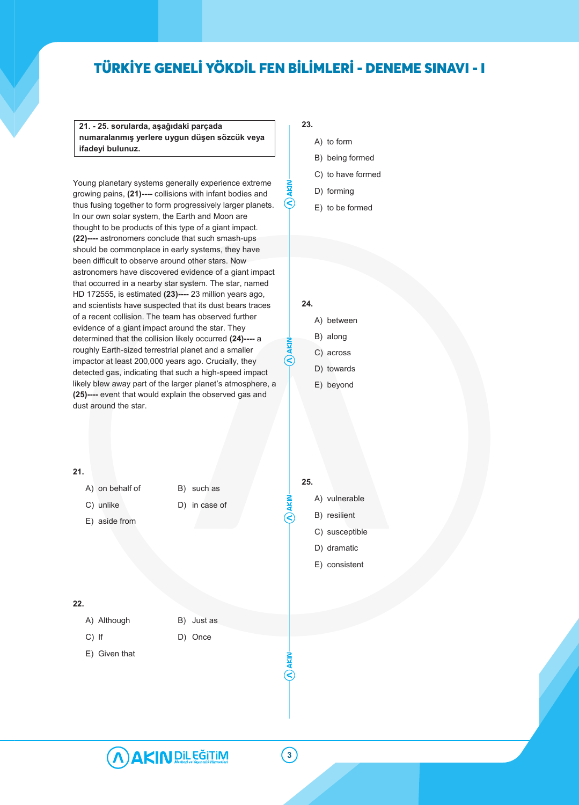**21. - 25. sorularda, aşağıdaki parçada numaralanmış yerlere uygun düşen sözcük veya ifadeyi bulunuz.**

Young planetary systems generally experience extreme growing pains, **(21)----** collisions with infant bodies and thus fusing together to form progressively larger planets. In our own solar system, the Earth and Moon are thought to be products of this type of a giant impact. **(22)----** astronomers conclude that such smash-ups should be commonplace in early systems, they have been difficult to observe around other stars. Now astronomers have discovered evidence of a giant impact that occurred in a nearby star system. The star, named HD 172555, is estimated **(23)----** 23 million years ago, and scientists have suspected that its dust bears traces of a recent collision. The team has observed further evidence of a giant impact around the star. They determined that the collision likely occurred **(24)----** a roughly Earth-sized terrestrial planet and a smaller impactor at least 200,000 years ago. Crucially, they detected gas, indicating that such a high-speed impact likely blew away part of the larger planet's atmosphere, a **(25)----** event that would explain the observed gas and dust around the star.

### **23.**

- A) to form
- B) being formed
- C) to have formed
- D) forming
- E) to be formed

### **24.**

- A) between
- B) along
- C) across
- D) towards
- E) beyond

### **21.**

- A) on behalf of B) such as
- C) unlike D) in case of
- E) aside from

### **22.**

- A) Although B) Just as
- 
- C) If D) Once
- E) Given that
- 
- 
- 

### **25.**

- A) vulnerable
- B) resilient
- C) susceptible
- D) dramatic
- E) consistent



 $\widehat{\mathcal{S}}$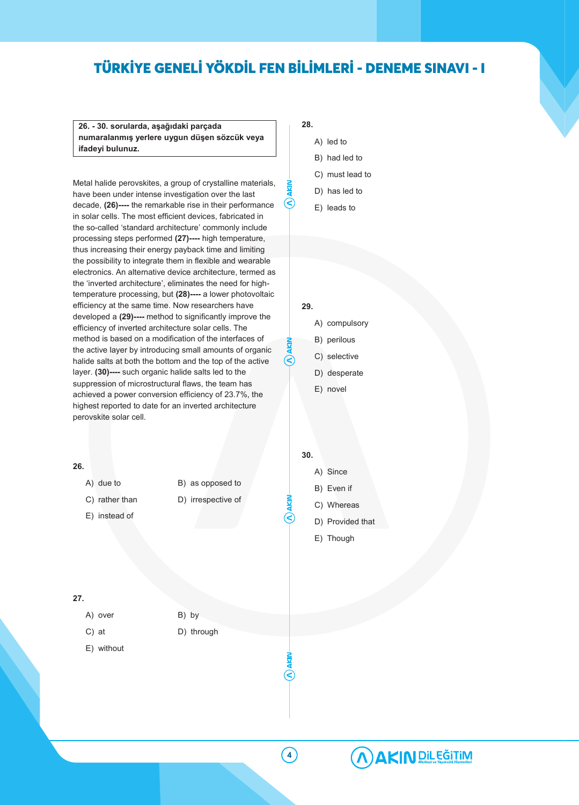**26. - 30. sorularda, aşağıdaki parçada numaralanmış yerlere uygun düşen sözcük veya ifadeyi bulunuz.**

Metal halide perovskites, a group of crystalline materials, have been under intense investigation over the last decade, **(26)----** the remarkable rise in their performance in solar cells. The most efficient devices, fabricated in the so-called 'standard architecture' commonly include processing steps performed **(27)----** high temperature, thus increasing their energy payback time and limiting the possibility to integrate them in flexible and wearable electronics. An alternative device architecture, termed as the 'inverted architecture', eliminates the need for hightemperature processing, but **(28)----** a lower photovoltaic efficiency at the same time. Now researchers have developed a **(29)----** method to significantly improve the efficiency of inverted architecture solar cells. The method is based on a modification of the interfaces of the active layer by introducing small amounts of organic halide salts at both the bottom and the top of the active layer. **(30)----** such organic halide salts led to the suppression of microstructural flaws, the team has achieved a power conversion efficiency of 23.7%, the highest reported to date for an inverted architecture perovskite solar cell.

- **28.**
	- A) led to
	- B) had led to
	- C) must lead to
	- D) has led to
	- E) leads to

**29.**

R

**30.**

- A) compulsory
- B) perilous
- C) selective
- D) desperate
- E) novel

**26.** A) due to B) as opposed to C) rather than D) irrespective of E) instead of **27.** A) over B) by C) at D) through E) without A) Since B) Even if C) Whereas D) Provided that E) Though

**4**

 $\overline{\mathsf{c}}$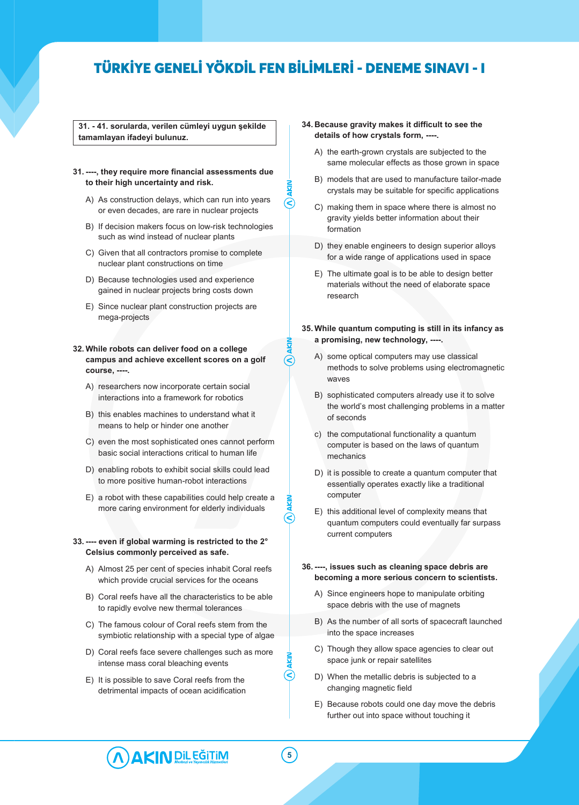⋐

 $\infty$ 

**31. - 41. sorularda, verilen cümleyi uygun şekilde tamamlayan ifadeyi bulunuz.**

### **31. ----, they require more financial assessments due to their high uncertainty and risk.**

- A) As construction delays, which can run into years or even decades, are rare in nuclear projects
- B) If decision makers focus on low-risk technologies such as wind instead of nuclear plants
- C) Given that all contractors promise to complete nuclear plant constructions on time
- D) Because technologies used and experience gained in nuclear projects bring costs down
- E) Since nuclear plant construction projects are mega-projects

### **32. While robots can deliver food on a college campus and achieve excellent scores on a golf course, ----.**

- A) researchers now incorporate certain social interactions into a framework for robotics
- B) this enables machines to understand what it means to help or hinder one another
- C) even the most sophisticated ones cannot perform basic social interactions critical to human life
- D) enabling robots to exhibit social skills could lead to more positive human-robot interactions
- E) a robot with these capabilities could help create a more caring environment for elderly individuals

### **33. ---- even if global warming is restricted to the 2° Celsius commonly perceived as safe.**

- A) Almost 25 per cent of species inhabit Coral reefs which provide crucial services for the oceans
- B) Coral reefs have all the characteristics to be able to rapidly evolve new thermal tolerances
- C) The famous colour of Coral reefs stem from the symbiotic relationship with a special type of algae
- D) Coral reefs face severe challenges such as more intense mass coral bleaching events
- E) It is possible to save Coral reefs from the detrimental impacts of ocean acidification
- **34. Because gravity makes it difficult to see the details of how crystals form, ----.**
	- A) the earth-grown crystals are subjected to the same molecular effects as those grown in space
	- B) models that are used to manufacture tailor-made crystals may be suitable for specific applications
	- C) making them in space where there is almost no gravity yields better information about their formation
	- D) they enable engineers to design superior alloys for a wide range of applications used in space
	- E) The ultimate goal is to be able to design better materials without the need of elaborate space research

### **35. While quantum computing is still in its infancy as a promising, new technology, ----.**

- A) some optical computers may use classical methods to solve problems using electromagnetic waves
- B) sophisticated computers already use it to solve the world's most challenging problems in a matter of seconds
- c) the computational functionality a quantum computer is based on the laws of quantum mechanics
- D) it is possible to create a quantum computer that essentially operates exactly like a traditional computer
- E) this additional level of complexity means that quantum computers could eventually far surpass current computers

### **36. ----, issues such as cleaning space debris are becoming a more serious concern to scientists.**

- A) Since engineers hope to manipulate orbiting space debris with the use of magnets
- B) As the number of all sorts of spacecraft launched into the space increases
- C) Though they allow space agencies to clear out space junk or repair satellites
- D) When the metallic debris is subjected to a changing magnetic field
- E) Because robots could one day move the debris further out into space without touching it

AKIN DIL EĞITIM

**5**

 $\bm{\mathsf{Q}}$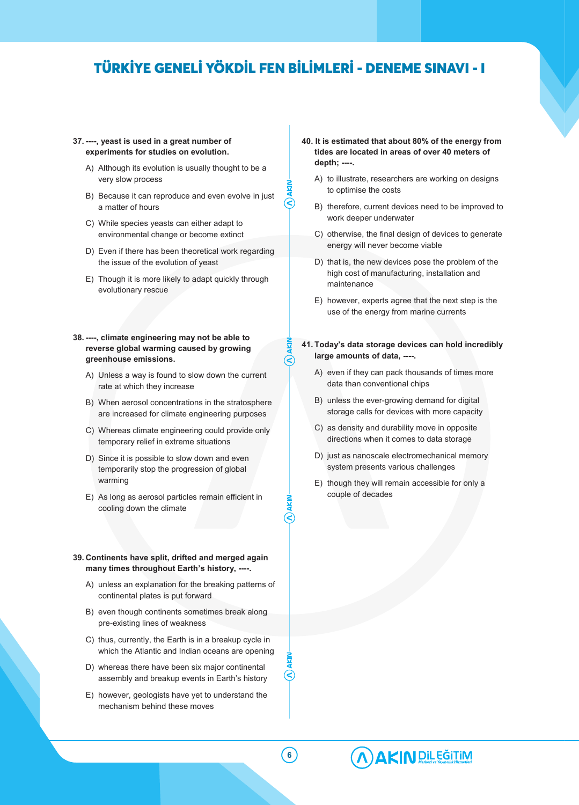### **37. ----, yeast is used in a great number of experiments for studies on evolution.**

- A) Although its evolution is usually thought to be a very slow process
- B) Because it can reproduce and even evolve in just a matter of hours
- C) While species yeasts can either adapt to environmental change or become extinct
- D) Even if there has been theoretical work regarding the issue of the evolution of yeast
- E) Though it is more likely to adapt quickly through evolutionary rescue
- **38. ----, climate engineering may not be able to reverse global warming caused by growing greenhouse emissions.**
	- A) Unless a way is found to slow down the current rate at which they increase
	- B) When aerosol concentrations in the stratosphere are increased for climate engineering purposes
	- C) Whereas climate engineering could provide only temporary relief in extreme situations
	- D) Since it is possible to slow down and even temporarily stop the progression of global warming
	- E) As long as aerosol particles remain efficient in cooling down the climate

### **39. Continents have split, drifted and merged again many times throughout Earth's history, ----.**

- A) unless an explanation for the breaking patterns of continental plates is put forward
- B) even though continents sometimes break along pre-existing lines of weakness
- C) thus, currently, the Earth is in a breakup cycle in which the Atlantic and Indian oceans are opening
- D) whereas there have been six major continental assembly and breakup events in Earth's history
- E) however, geologists have yet to understand the mechanism behind these moves
- **40. It is estimated that about 80% of the energy from tides are located in areas of over 40 meters of depth; ----.**
	- A) to illustrate, researchers are working on designs to optimise the costs
	- B) therefore, current devices need to be improved to work deeper underwater
	- C) otherwise, the final design of devices to generate energy will never become viable
	- D) that is, the new devices pose the problem of the high cost of manufacturing, installation and maintenance
	- E) however, experts agree that the next step is the use of the energy from marine currents
- **41. Today's data storage devices can hold incredibly large amounts of data, ----.**
	- A) even if they can pack thousands of times more data than conventional chips
	- B) unless the ever-growing demand for digital storage calls for devices with more capacity
	- C) as density and durability move in opposite directions when it comes to data storage
	- D) just as nanoscale electromechanical memory system presents various challenges
	- E) though they will remain accessible for only a couple of decades



 $(\textbf{<})$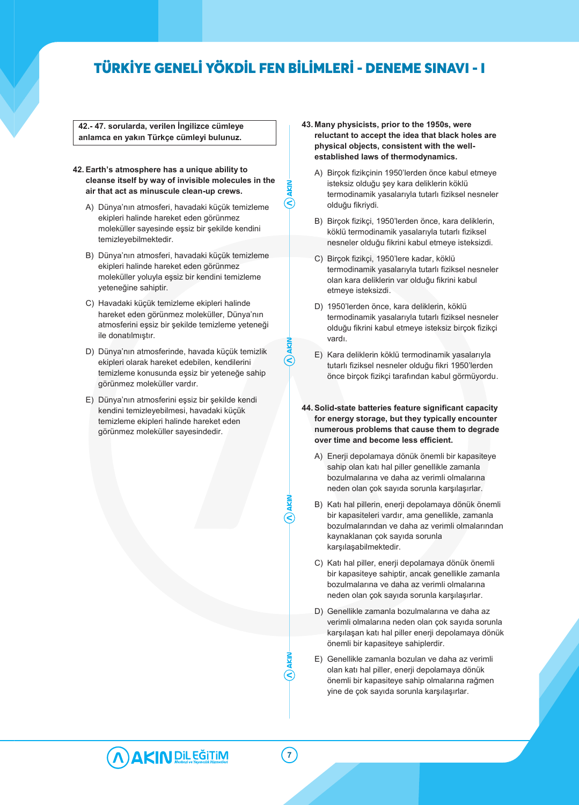R)

**42.- 47. sorularda, verilen İngilizce cümleye anlamca en yakın Türkçe cümleyi bulunuz.**

### **42. Earth's atmosphere has a unique ability to cleanse itself by way of invisible molecules in the air that act as minuscule clean-up crews.**

- A) Dünya'nın atmosferi, havadaki küçük temizleme ekipleri halinde hareket eden görünmez moleküller sayesinde eşsiz bir şekilde kendini temizleyebilmektedir.
- B) Dünya'nın atmosferi, havadaki küçük temizleme ekipleri halinde hareket eden görünmez moleküller yoluyla eşsiz bir kendini temizleme yeteneğine sahiptir.
- C) Havadaki küçük temizleme ekipleri halinde hareket eden görünmez moleküller, Dünya'nın atmosferini eşsiz bir şekilde temizleme yeteneği ile donatılmıştır.
- D) Dünya'nın atmosferinde, havada küçük temizlik ekipleri olarak hareket edebilen, kendilerini temizleme konusunda eşsiz bir yeteneğe sahip görünmez moleküller vardır.
- E) Dünya'nın atmosferini eşsiz bir şekilde kendi kendini temizleyebilmesi, havadaki küçük temizleme ekipleri halinde hareket eden görünmez moleküller sayesindedir.
- **43. Many physicists, prior to the 1950s, were reluctant to accept the idea that black holes are physical objects, consistent with the wellestablished laws of thermodynamics.**
	- A) Birçok fizikçinin 1950'lerden önce kabul etmeye isteksiz olduğu şey kara deliklerin köklü termodinamik yasalarıyla tutarlı fiziksel nesneler olduğu fikriydi.
	- B) Birçok fizikçi, 1950'lerden önce, kara deliklerin, köklü termodinamik yasalarıyla tutarlı fiziksel nesneler olduğu fikrini kabul etmeye isteksizdi.
	- C) Birçok fizikçi, 1950'lere kadar, köklü termodinamik yasalarıyla tutarlı fiziksel nesneler olan kara deliklerin var olduğu fikrini kabul etmeye isteksizdi.
	- D) 1950'lerden önce, kara deliklerin, köklü termodinamik yasalarıyla tutarlı fiziksel nesneler olduğu fikrini kabul etmeye isteksiz birçok fizikçi vardı.
	- E) Kara deliklerin köklü termodinamik yasalarıyla tutarlı fiziksel nesneler olduğu fikri 1950'lerden önce birçok fizikçi tarafından kabul görmüyordu.
- **44. Solid-state batteries feature significant capacity for energy storage, but they typically encounter numerous problems that cause them to degrade over time and become less efficient.**
	- A) Enerji depolamaya dönük önemli bir kapasiteye sahip olan katı hal piller genellikle zamanla bozulmalarına ve daha az verimli olmalarına neden olan çok sayıda sorunla karşılaşırlar.
	- B) Katı hal pillerin, enerji depolamaya dönük önemli bir kapasiteleri vardır, ama genellikle, zamanla bozulmalarından ve daha az verimli olmalarından kaynaklanan çok sayıda sorunla karşılaşabilmektedir.
	- C) Katı hal piller, enerji depolamaya dönük önemli bir kapasiteye sahiptir, ancak genellikle zamanla bozulmalarına ve daha az verimli olmalarına neden olan çok sayıda sorunla karşılaşırlar.
	- D) Genellikle zamanla bozulmalarına ve daha az verimli olmalarına neden olan çok sayıda sorunla karşılaşan katı hal piller enerji depolamaya dönük önemli bir kapasiteye sahiplerdir.
	- E) Genellikle zamanla bozulan ve daha az verimli olan katı hal piller, enerji depolamaya dönük önemli bir kapasiteye sahip olmalarına rağmen yine de çok sayıda sorunla karşılaşırlar.



**7**

R)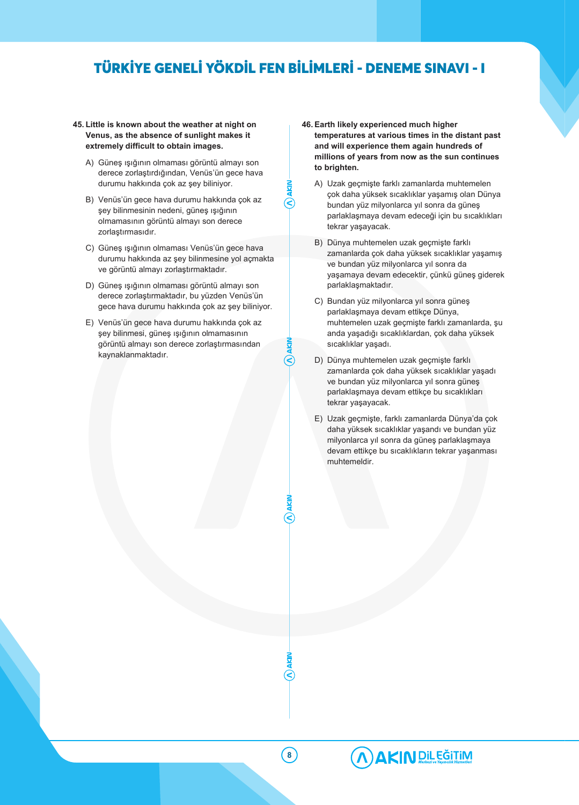- **45. Little is known about the weather at night on Venus, as the absence of sunlight makes it extremely difficult to obtain images.**
	- A) Güneş ışığının olmaması görüntü almayı son derece zorlaştırdığından, Venüs'ün gece hava durumu hakkında çok az şey biliniyor.
	- B) Venüs'ün gece hava durumu hakkında çok az şey bilinmesinin nedeni, güneş ışığının olmamasının görüntü almayı son derece zorlaştırmasıdır.
	- C) Güneş ışığının olmaması Venüs'ün gece hava durumu hakkında az şey bilinmesine yol açmakta ve görüntü almayı zorlaştırmaktadır.
	- D) Güneş ışığının olmaması görüntü almayı son derece zorlaştırmaktadır, bu yüzden Venüs'ün gece hava durumu hakkında çok az şey biliniyor.
	- E) Venüs'ün gece hava durumu hakkında çok az şey bilinmesi, güneş ışığının olmamasının görüntü almayı son derece zorlaştırmasından kaynaklanmaktadır.
- **46. Earth likely experienced much higher temperatures at various times in the distant past and will experience them again hundreds of millions of years from now as the sun continues to brighten.**
	- A) Uzak geçmişte farklı zamanlarda muhtemelen çok daha yüksek sıcaklıklar yaşamış olan Dünya bundan yüz milyonlarca yıl sonra da güneş parlaklaşmaya devam edeceği için bu sıcaklıkları tekrar yaşayacak.
	- B) Dünya muhtemelen uzak geçmişte farklı zamanlarda çok daha yüksek sıcaklıklar yaşamış ve bundan yüz milyonlarca yıl sonra da yaşamaya devam edecektir, çünkü güneş giderek parlaklaşmaktadır.
	- C) Bundan yüz milyonlarca yıl sonra güneş parlaklaşmaya devam ettikçe Dünya, muhtemelen uzak geçmişte farklı zamanlarda, şu anda yaşadığı sıcaklıklardan, çok daha yüksek sıcaklıklar yaşadı.
	- D) Dünya muhtemelen uzak geçmişte farklı zamanlarda çok daha yüksek sıcaklıklar yaşadı ve bundan yüz milyonlarca yıl sonra güneş parlaklaşmaya devam ettikçe bu sıcaklıkları tekrar yaşayacak.
	- E) Uzak geçmişte, farklı zamanlarda Dünya'da çok daha yüksek sıcaklıklar yaşandı ve bundan yüz milyonlarca yıl sonra da güneş parlaklaşmaya devam ettikçe bu sıcaklıkların tekrar yaşanması muhtemeldir.

**8**

 $\widehat{\boldsymbol{\epsilon}}$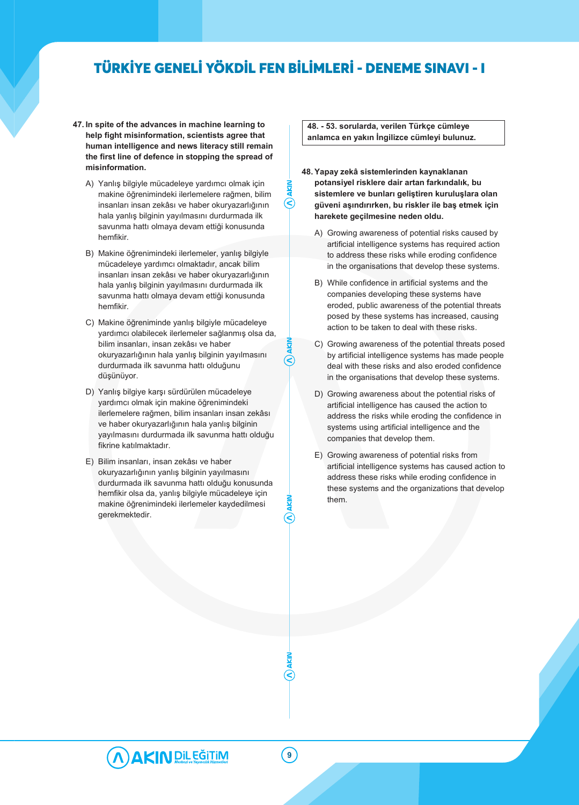$\circled{\in}$ 

- **47. In spite of the advances in machine learning to help fight misinformation, scientists agree that human intelligence and news literacy still remain the first line of defence in stopping the spread of misinformation.**
	- A) Yanlış bilgiyle mücadeleye yardımcı olmak için makine öğrenimindeki ilerlemelere rağmen, bilim insanları insan zekâsı ve haber okuryazarlığının hala yanlış bilginin yayılmasını durdurmada ilk savunma hattı olmaya devam ettiği konusunda hemfikir.
	- B) Makine öğrenimindeki ilerlemeler, yanlış bilgiyle mücadeleye yardımcı olmaktadır, ancak bilim insanları insan zekâsı ve haber okuryazarlığının hala yanlış bilginin yayılmasını durdurmada ilk savunma hattı olmaya devam ettiği konusunda hemfikir.
	- C) Makine öğreniminde yanlış bilgiyle mücadeleye yardımcı olabilecek ilerlemeler sağlanmış olsa da, bilim insanları, insan zekâsı ve haber okuryazarlığının hala yanlış bilginin yayılmasını durdurmada ilk savunma hattı olduğunu düşünüyor.
	- D) Yanlış bilgiye karşı sürdürülen mücadeleye yardımcı olmak için makine öğrenimindeki ilerlemelere rağmen, bilim insanları insan zekâsı ve haber okuryazarlığının hala yanlış bilginin yayılmasını durdurmada ilk savunma hattı olduğu fikrine katılmaktadır.
	- E) Bilim insanları, insan zekâsı ve haber okuryazarlığının yanlış bilginin yayılmasını durdurmada ilk savunma hattı olduğu konusunda hemfikir olsa da, yanlış bilgiyle mücadeleye için makine öğrenimindeki ilerlemeler kaydedilmesi gerekmektedir.

**48. - 53. sorularda, verilen Türkçe cümleye anlamca en yakın İngilizce cümleyi bulunuz.**

**48. Yapay zekâ sistemlerinden kaynaklanan potansiyel risklere dair artan farkındalık, bu sistemlere ve bunları geliştiren kuruluşlara olan güveni aşındırırken, bu riskler ile baş etmek için harekete geçilmesine neden oldu.**

- A) Growing awareness of potential risks caused by artificial intelligence systems has required action to address these risks while eroding confidence in the organisations that develop these systems.
- B) While confidence in artificial systems and the companies developing these systems have eroded, public awareness of the potential threats posed by these systems has increased, causing action to be taken to deal with these risks.
- C) Growing awareness of the potential threats posed by artificial intelligence systems has made people deal with these risks and also eroded confidence in the organisations that develop these systems.
- D) Growing awareness about the potential risks of artificial intelligence has caused the action to address the risks while eroding the confidence in systems using artificial intelligence and the companies that develop them.
- E) Growing awareness of potential risks from artificial intelligence systems has caused action to address these risks while eroding confidence in these systems and the organizations that develop them.

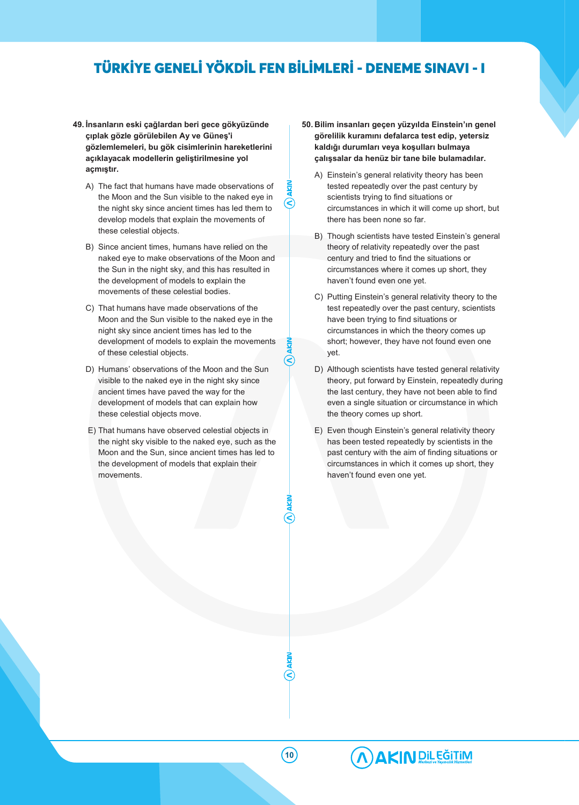$\mathcal{Q}$ 

 $\infty$ 

- **49. İnsanların eski çağlardan beri gece gökyüzünde çıplak gözle görülebilen Ay ve Güneş'i gözlemlemeleri, bu gök cisimlerinin hareketlerini açıklayacak modellerin geliştirilmesine yol açmıştır.**
	- A) The fact that humans have made observations of the Moon and the Sun visible to the naked eye in the night sky since ancient times has led them to develop models that explain the movements of these celestial objects.
	- B) Since ancient times, humans have relied on the naked eye to make observations of the Moon and the Sun in the night sky, and this has resulted in the development of models to explain the movements of these celestial bodies.
	- C) That humans have made observations of the Moon and the Sun visible to the naked eye in the night sky since ancient times has led to the development of models to explain the movements of these celestial objects.
	- D) Humans' observations of the Moon and the Sun visible to the naked eye in the night sky since ancient times have paved the way for the development of models that can explain how these celestial objects move.
	- E) That humans have observed celestial objects in the night sky visible to the naked eye, such as the Moon and the Sun, since ancient times has led to the development of models that explain their movements.
- **50. Bilim insanları geçen yüzyılda Einstein'ın genel görelilik kuramını defalarca test edip, yetersiz kaldığı durumları veya koşulları bulmaya çalışsalar da henüz bir tane bile bulamadılar.**
	- A) Einstein's general relativity theory has been tested repeatedly over the past century by scientists trying to find situations or circumstances in which it will come up short, but there has been none so far.
	- B) Though scientists have tested Einstein's general theory of relativity repeatedly over the past century and tried to find the situations or circumstances where it comes up short, they haven't found even one yet.
	- C) Putting Einstein's general relativity theory to the test repeatedly over the past century, scientists have been trying to find situations or circumstances in which the theory comes up short; however, they have not found even one yet.
	- D) Although scientists have tested general relativity theory, put forward by Einstein, repeatedly during the last century, they have not been able to find even a single situation or circumstance in which the theory comes up short.
	- E) Even though Einstein's general relativity theory has been tested repeatedly by scientists in the past century with the aim of finding situations or circumstances in which it comes up short, they haven't found even one yet.

**10**

S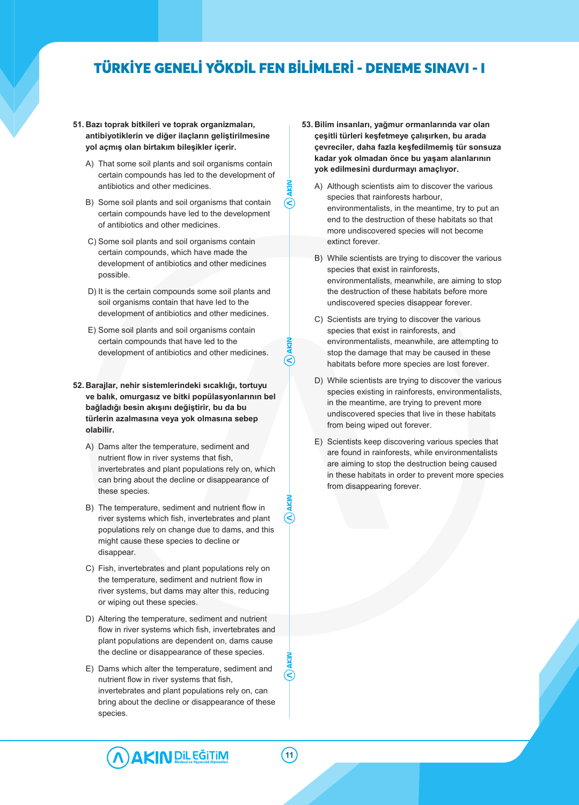P

S

′<

- **51. Bazı toprak bitkileri ve toprak organizmaları, antibiyotiklerin ve diğer ilaçların geliştirilmesine yol açmış olan birtakım bileşikler içerir.**
	- A) That some soil plants and soil organisms contain certain compounds has led to the development of antibiotics and other medicines.
	- B) Some soil plants and soil organisms that contain certain compounds have led to the development of antibiotics and other medicines.
	- C) Some soil plants and soil organisms contain certain compounds, which have made the development of antibiotics and other medicines possible.
	- D) It is the certain compounds some soil plants and soil organisms contain that have led to the development of antibiotics and other medicines.
	- E) Some soil plants and soil organisms contain certain compounds that have led to the development of antibiotics and other medicines.
- **52. Barajlar, nehir sistemlerindeki sıcaklığı, tortuyu ve balık, omurgasız ve bitki popülasyonlarının bel bağladığı besin akışını değiştirir, bu da bu türlerin azalmasına veya yok olmasına sebep olabilir.**
	- A) Dams alter the temperature, sediment and nutrient flow in river systems that fish, invertebrates and plant populations rely on, which can bring about the decline or disappearance of these species.
	- B) The temperature, sediment and nutrient flow in river systems which fish, invertebrates and plant populations rely on change due to dams, and this might cause these species to decline or disappear.
	- C) Fish, invertebrates and plant populations rely on the temperature, sediment and nutrient flow in river systems, but dams may alter this, reducing or wiping out these species.
	- D) Altering the temperature, sediment and nutrient flow in river systems which fish, invertebrates and plant populations are dependent on, dams cause the decline or disappearance of these species.
	- E) Dams which alter the temperature, sediment and nutrient flow in river systems that fish, invertebrates and plant populations rely on, can bring about the decline or disappearance of these species.
- **53. Bilim insanları, yağmur ormanlarında var olan çeşitli türleri keşfetmeye çalışırken, bu arada çevreciler, daha fazla keşfedilmemiş tür sonsuza kadar yok olmadan önce bu yaşam alanlarının yok edilmesini durdurmayı amaçlıyor.**
	- A) Although scientists aim to discover the various species that rainforests harbour, environmentalists, in the meantime, try to put an end to the destruction of these habitats so that more undiscovered species will not become extinct forever.
	- B) While scientists are trying to discover the various species that exist in rainforests, environmentalists, meanwhile, are aiming to stop the destruction of these habitats before more undiscovered species disappear forever.
	- C) Scientists are trying to discover the various species that exist in rainforests, and environmentalists, meanwhile, are attempting to stop the damage that may be caused in these habitats before more species are lost forever.
	- D) While scientists are trying to discover the various species existing in rainforests, environmentalists, in the meantime, are trying to prevent more undiscovered species that live in these habitats from being wiped out forever.
	- E) Scientists keep discovering various species that are found in rainforests, while environmentalists are aiming to stop the destruction being caused in these habitats in order to prevent more species from disappearing forever.

**AKIN** DiL EĞITIM

 $(\widehat{\textbf{C}}% )^{2n}$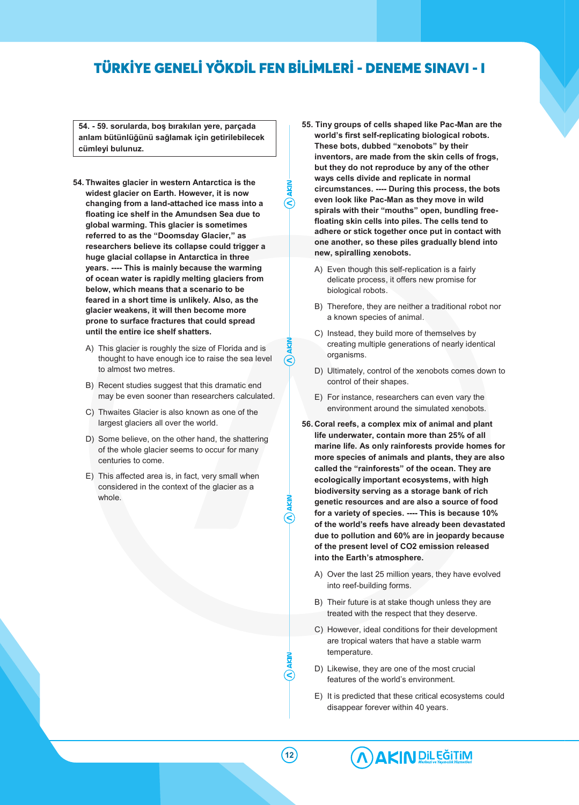୧

 $\infty$ 

**54. - 59. sorularda, boş bırakılan yere, parçada anlam bütünlüğünü sağlamak için getirilebilecek cümleyi bulunuz.**

- **54. Thwaites glacier in western Antarctica is the widest glacier on Earth. However, it is now changing from a land-attached ice mass into a floating ice shelf in the Amundsen Sea due to global warming. This glacier is sometimes referred to as the "Doomsday Glacier," as researchers believe its collapse could trigger a huge glacial collapse in Antarctica in three years. ---- This is mainly because the warming of ocean water is rapidly melting glaciers from below, which means that a scenario to be feared in a short time is unlikely. Also, as the glacier weakens, it will then become more prone to surface fractures that could spread until the entire ice shelf shatters.**
	- A) This glacier is roughly the size of Florida and is thought to have enough ice to raise the sea level to almost two metres.
	- B) Recent studies suggest that this dramatic end may be even sooner than researchers calculated.
	- C) Thwaites Glacier is also known as one of the largest glaciers all over the world.
	- D) Some believe, on the other hand, the shattering of the whole glacier seems to occur for many centuries to come.
	- E) This affected area is, in fact, very small when considered in the context of the glacier as a whole.
- **55. Tiny groups of cells shaped like Pac-Man are the world's first self-replicating biological robots. These bots, dubbed "xenobots" by their inventors, are made from the skin cells of frogs, but they do not reproduce by any of the other ways cells divide and replicate in normal circumstances. ---- During this process, the bots even look like Pac-Man as they move in wild spirals with their "mouths" open, bundling freefloating skin cells into piles. The cells tend to adhere or stick together once put in contact with one another, so these piles gradually blend into new, spiralling xenobots.**
	- A) Even though this self-replication is a fairly delicate process, it offers new promise for biological robots.
	- B) Therefore, they are neither a traditional robot nor a known species of animal.
	- C) Instead, they build more of themselves by creating multiple generations of nearly identical organisms.
	- D) Ultimately, control of the xenobots comes down to control of their shapes.
	- E) For instance, researchers can even vary the environment around the simulated xenobots.
- **56. Coral reefs, a complex mix of animal and plant life underwater, contain more than 25% of all marine life. As only rainforests provide homes for more species of animals and plants, they are also called the "rainforests" of the ocean. They are ecologically important ecosystems, with high biodiversity serving as a storage bank of rich genetic resources and are also a source of food for a variety of species. ---- This is because 10% of the world's reefs have already been devastated due to pollution and 60% are in jeopardy because of the present level of CO2 emission released into the Earth's atmosphere.**
	- A) Over the last 25 million years, they have evolved into reef-building forms.
	- B) Their future is at stake though unless they are treated with the respect that they deserve.
	- C) However, ideal conditions for their development are tropical waters that have a stable warm temperature.
	- D) Likewise, they are one of the most crucial features of the world's environment.
	- E) It is predicted that these critical ecosystems could disappear forever within 40 years.

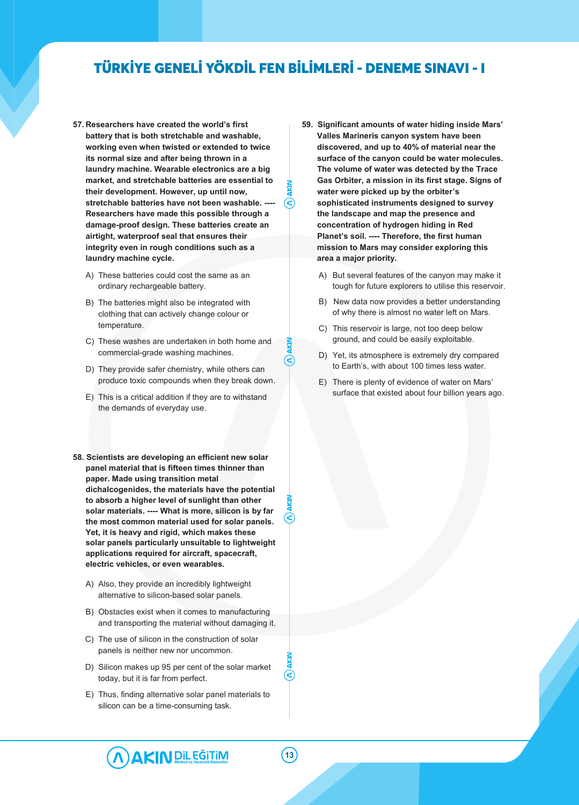∈

 $\infty$ 

- **57. Researchers have created the world's first battery that is both stretchable and washable, working even when twisted or extended to twice its normal size and after being thrown in a laundry machine. Wearable electronics are a big market, and stretchable batteries are essential to their development. However, up until now,** stretchable batteries have not been washable. -**Researchers have made this possible through a damage-proof design. These batteries create an airtight, waterproof seal that ensures their integrity even in rough conditions such as a laundry machine cycle.**
	- A) These batteries could cost the same as an ordinary rechargeable battery.
	- B) The batteries might also be integrated with clothing that can actively change colour or temperature.
	- C) These washes are undertaken in both home and commercial-grade washing machines.
	- D) They provide safer chemistry, while others can produce toxic compounds when they break down.
	- E) This is a critical addition if they are to withstand the demands of everyday use.
- **58. Scientists are developing an efficient new solar panel material that is fifteen times thinner than paper. Made using transition metal dichalcogenides, the materials have the potential to absorb a higher level of sunlight than other solar materials. ---- What is more, silicon is by far the most common material used for solar panels. Yet, it is heavy and rigid, which makes these solar panels particularly unsuitable to lightweight applications required for aircraft, spacecraft, electric vehicles, or even wearables.**
	- A) Also, they provide an incredibly lightweight alternative to silicon-based solar panels.
	- B) Obstacles exist when it comes to manufacturing and transporting the material without damaging it.
	- C) The use of silicon in the construction of solar panels is neither new nor uncommon.
	- D) Silicon makes up 95 per cent of the solar market today, but it is far from perfect.
	- E) Thus, finding alternative solar panel materials to silicon can be a time-consuming task.
- **59. Significant amounts of water hiding inside Mars' Valles Marineris canyon system have been discovered, and up to 40% of material near the surface of the canyon could be water molecules. The volume of water was detected by the Trace Gas Orbiter, a mission in its first stage. Signs of water were picked up by the orbiter's sophisticated instruments designed to survey the landscape and map the presence and concentration of hydrogen hiding in Red Planet's soil. ---- Therefore, the first human mission to Mars may consider exploring this area a major priority.**
	- A) But several features of the canyon may make it tough for future explorers to utilise this reservoir.
	- B) New data now provides a better understanding of why there is almost no water left on Mars.
	- C) This reservoir is large, not too deep below ground, and could be easily exploitable.
	- D) Yet, its atmosphere is extremely dry compared to Earth's, with about 100 times less water.
	- E) There is plenty of evidence of water on Mars' surface that existed about four billion years ago.

 $(\widehat{\textbf{C}}% )^{2n}$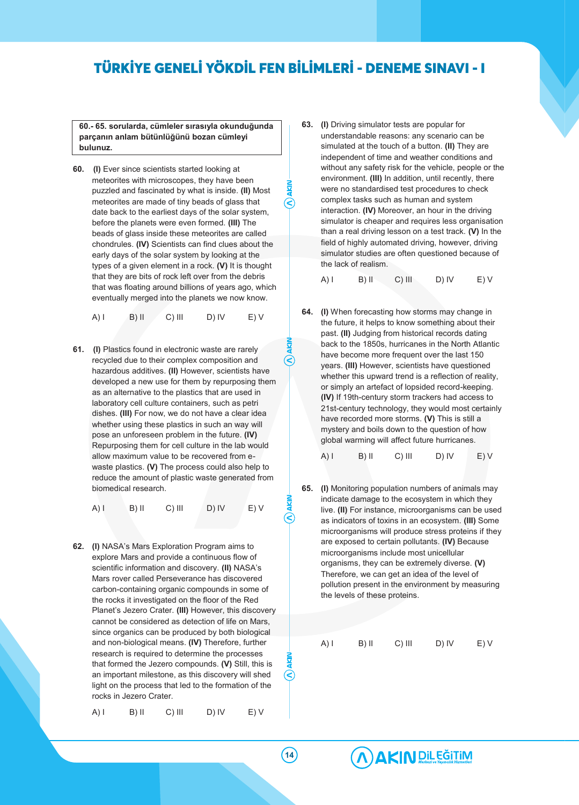$\mathcal{Q}$ 

R

S

**60.- 65. sorularda, cümleler sırasıyla okunduğunda parçanın anlam bütünlüğünü bozan cümleyi bulunuz.**

**60. (I)** Ever since scientists started looking at meteorites with microscopes, they have been puzzled and fascinated by what is inside. **(II)** Most meteorites are made of tiny beads of glass that date back to the earliest days of the solar system, before the planets were even formed. **(III)** The beads of glass inside these meteorites are called chondrules. **(IV)** Scientists can find clues about the early days of the solar system by looking at the types of a given element in a rock. **(V)** It is thought that they are bits of rock left over from the debris that was floating around billions of years ago, which eventually merged into the planets we now know.

|  | $(A)$ l | $B)$ II | $C)$ III | D) IV | E) V |
|--|---------|---------|----------|-------|------|
|--|---------|---------|----------|-------|------|

**61. (I)** Plastics found in electronic waste are rarely recycled due to their complex composition and hazardous additives. **(II)** However, scientists have developed a new use for them by repurposing them as an alternative to the plastics that are used in laboratory cell culture containers, such as petri dishes. **(III)** For now, we do not have a clear idea whether using these plastics in such an way will pose an unforeseen problem in the future. **(IV)** Repurposing them for cell culture in the lab would allow maximum value to be recovered from ewaste plastics. **(V)** The process could also help to reduce the amount of plastic waste generated from biomedical research.

$$
A) I \t B) II \t C) III \t D) IV \t E) V
$$

**62. (I)** NASA's Mars Exploration Program aims to explore Mars and provide a continuous flow of scientific information and discovery. **(II)** NASA's Mars rover called Perseverance has discovered carbon-containing organic compounds in some of the rocks it investigated on the floor of the Red Planet's Jezero Crater. **(III)** However, this discovery cannot be considered as detection of life on Mars, since organics can be produced by both biological and non-biological means. **(IV)** Therefore, further research is required to determine the processes that formed the Jezero compounds. **(V)** Still, this is an important milestone, as this discovery will shed light on the process that led to the formation of the rocks in Jezero Crater.

$$
A) I \qquad B) II \qquad C) III \qquad D) IV \qquad E) V
$$

**63. (I)** Driving simulator tests are popular for understandable reasons: any scenario can be simulated at the touch of a button. **(II)** They are independent of time and weather conditions and without any safety risk for the vehicle, people or the environment. **(III)** In addition, until recently, there were no standardised test procedures to check complex tasks such as human and system interaction. **(IV)** Moreover, an hour in the driving simulator is cheaper and requires less organisation than a real driving lesson on a test track. **(V)** In the field of highly automated driving, however, driving simulator studies are often questioned because of the lack of realism.

A) I B) II C) III D) IV E) V

- **64. (I)** When forecasting how storms may change in the future, it helps to know something about their past. **(II)** Judging from historical records dating back to the 1850s, hurricanes in the North Atlantic have become more frequent over the last 150 years. **(III)** However, scientists have questioned whether this upward trend is a reflection of reality, or simply an artefact of lopsided record-keeping. **(IV)** If 19th-century storm trackers had access to 21st-century technology, they would most certainly have recorded more storms. **(V)** This is still a mystery and boils down to the question of how global warming will affect future hurricanes.
	- $(A)$  I B) II C) III D) IV E) V
- **65. (I)** Monitoring population numbers of animals may indicate damage to the ecosystem in which they live. **(II)** For instance, microorganisms can be used as indicators of toxins in an ecosystem. **(III)** Some microorganisms will produce stress proteins if they are exposed to certain pollutants. **(IV)** Because microorganisms include most unicellular organisms, they can be extremely diverse. **(V)** Therefore, we can get an idea of the level of pollution present in the environment by measuring the levels of these proteins.

$$
A) I \qquad B) II \qquad C) III \qquad D) IV \qquad E) V
$$

$$
f_{\rm{max}}
$$

**14**

 $(\textcolor{red}{\blacktriangleleft})$ 

# A AKIN DIL EĞİTİM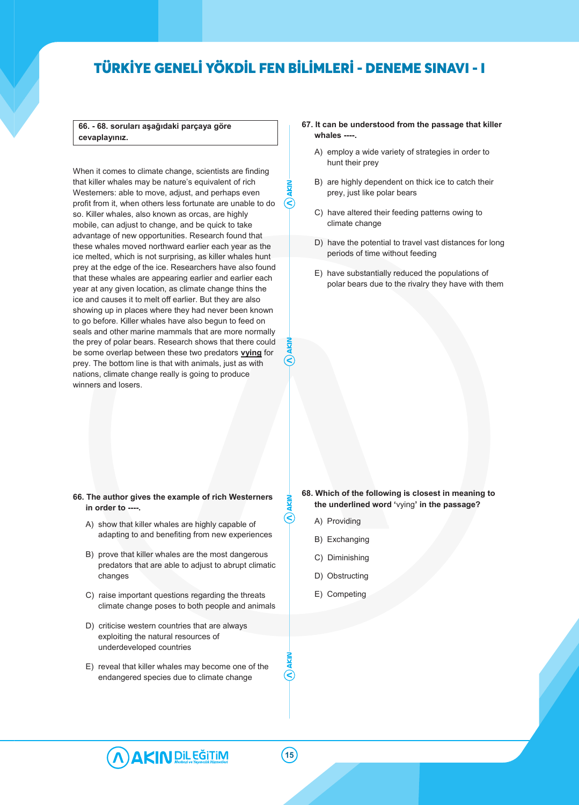**66. - 68. soruları aşağıdaki parçaya göre cevaplayınız.**

When it comes to climate change, scientists are finding that killer whales may be nature's equivalent of rich Westerners: able to move, adjust, and perhaps even profit from it, when others less fortunate are unable to do so. Killer whales, also known as orcas, are highly mobile, can adjust to change, and be quick to take advantage of new opportunities. Research found that these whales moved northward earlier each year as the ice melted, which is not surprising, as killer whales hunt prey at the edge of the ice. Researchers have also found that these whales are appearing earlier and earlier each year at any given location, as climate change thins the ice and causes it to melt off earlier. But they are also showing up in places where they had never been known to go before. Killer whales have also begun to feed on seals and other marine mammals that are more normally the prey of polar bears. Research shows that there could be some overlap between these two predators **vying** for prey. The bottom line is that with animals, just as with nations, climate change really is going to produce winners and losers.

### **67. It can be understood from the passage that killer whales ----.** A) employ a wide variety of strategies in order to

- hunt their prey
- B) are highly dependent on thick ice to catch their prey, just like polar bears
- C) have altered their feeding patterns owing to climate change
- D) have the potential to travel vast distances for long periods of time without feeding
- E) have substantially reduced the populations of polar bears due to the rivalry they have with them

### **66. The author gives the example of rich Westerners in order to ----.**

- A) show that killer whales are highly capable of adapting to and benefiting from new experiences
- B) prove that killer whales are the most dangerous predators that are able to adjust to abrupt climatic changes
- C) raise important questions regarding the threats climate change poses to both people and animals
- D) criticise western countries that are always exploiting the natural resources of underdeveloped countries
- E) reveal that killer whales may become one of the endangered species due to climate change

### **68. Which of the following is closest in meaning to the underlined word '**vying**' in the passage?**

- A) Providing
- B) Exchanging
- C) Diminishing
- D) Obstructing
- E) Competing



R)

 $(\leq)$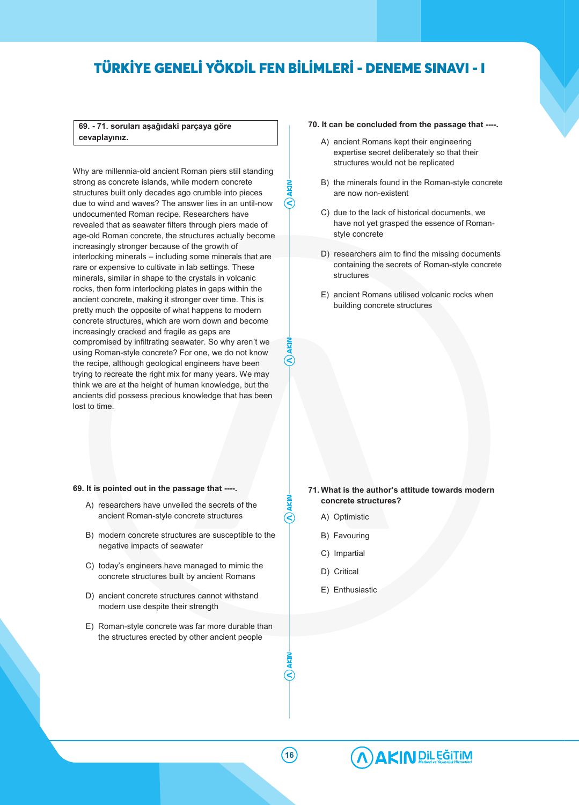⋐

|∈

### **69. - 71. soruları aşağıdaki parçaya göre cevaplayınız.**

Why are millennia-old ancient Roman piers still standing strong as concrete islands, while modern concrete structures built only decades ago crumble into pieces due to wind and waves? The answer lies in an until-now undocumented Roman recipe. Researchers have revealed that as seawater filters through piers made of age-old Roman concrete, the structures actually become increasingly stronger because of the growth of interlocking minerals – including some minerals that are rare or expensive to cultivate in lab settings. These minerals, similar in shape to the crystals in volcanic rocks, then form interlocking plates in gaps within the ancient concrete, making it stronger over time. This is pretty much the opposite of what happens to modern concrete structures, which are worn down and become increasingly cracked and fragile as gaps are compromised by infiltrating seawater. So why aren't we using Roman-style concrete? For one, we do not know the recipe, although geological engineers have been trying to recreate the right mix for many years. We may think we are at the height of human knowledge, but the ancients did possess precious knowledge that has been lost to time.

### **70. It can be concluded from the passage that ----.**

- A) ancient Romans kept their engineering expertise secret deliberately so that their structures would not be replicated
- B) the minerals found in the Roman-style concrete are now non-existent
- C) due to the lack of historical documents, we have not yet grasped the essence of Romanstyle concrete
- D) researchers aim to find the missing documents containing the secrets of Roman-style concrete **structures**
- E) ancient Romans utilised volcanic rocks when building concrete structures

### **69. It is pointed out in the passage that ----.**

- A) researchers have unveiled the secrets of the ancient Roman-style concrete structures
- B) modern concrete structures are susceptible to the negative impacts of seawater
- C) today's engineers have managed to mimic the concrete structures built by ancient Romans
- D) ancient concrete structures cannot withstand modern use despite their strength
- E) Roman-style concrete was far more durable than the structures erected by other ancient people

### **71. What is the author's attitude towards modern concrete structures?**

- A) Optimistic
- B) Favouring
- C) Impartial
- D) Critical
- E) Enthusiastic



R)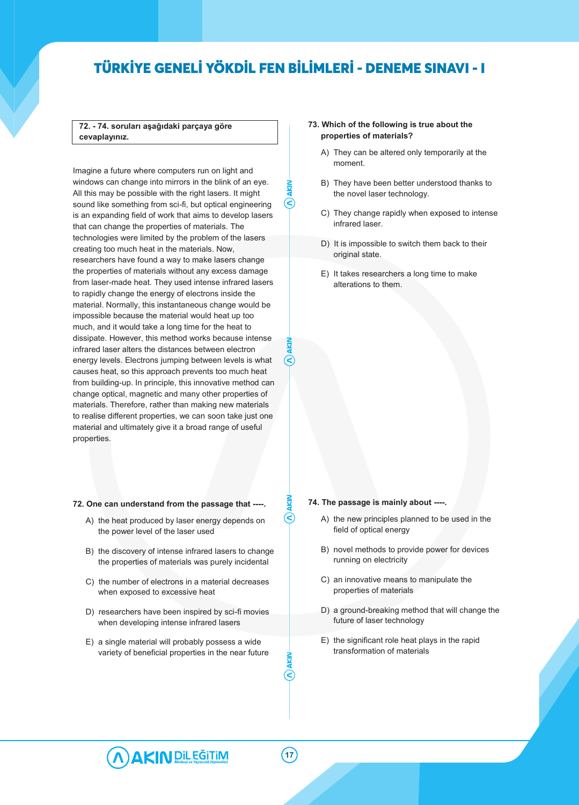R

 $(\leq)$ 

### **72. - 74. soruları aşağıdaki parçaya göre cevaplayınız.**

Imagine a future where computers run on light and windows can change into mirrors in the blink of an eye. All this may be possible with the right lasers. It might sound like something from sci-fi, but optical engineering is an expanding field of work that aims to develop lasers that can change the properties of materials. The technologies were limited by the problem of the lasers creating too much heat in the materials. Now, researchers have found a way to make lasers change the properties of materials without any excess damage from laser-made heat. They used intense infrared lasers to rapidly change the energy of electrons inside the material. Normally, this instantaneous change would be impossible because the material would heat up too much, and it would take a long time for the heat to dissipate. However, this method works because intense infrared laser alters the distances between electron energy levels. Electrons jumping between levels is what causes heat, so this approach prevents too much heat from building-up. In principle, this innovative method can change optical, magnetic and many other properties of materials. Therefore, rather than making new materials to realise different properties, we can soon take just one material and ultimately give it a broad range of useful properties.

### **72. One can understand from the passage that ----.**

- A) the heat produced by laser energy depends on the power level of the laser used
- B) the discovery of intense infrared lasers to change the properties of materials was purely incidental
- C) the number of electrons in a material decreases when exposed to excessive heat
- D) researchers have been inspired by sci-fi movies when developing intense infrared lasers
- E) a single material will probably possess a wide variety of beneficial properties in the near future

### **73. Which of the following is true about the properties of materials?**

- A) They can be altered only temporarily at the moment.
- B) They have been better understood thanks to the novel laser technology.
- C) They change rapidly when exposed to intense infrared laser.
- D) It is impossible to switch them back to their original state.
- E) It takes researchers a long time to make alterations to them.

#### **74. The passage is mainly about ----.**

- A) the new principles planned to be used in the field of optical energy
- B) novel methods to provide power for devices running on electricity
- C) an innovative means to manipulate the properties of materials
- D) a ground-breaking method that will change the future of laser technology
- E) the significant role heat plays in the rapid transformation of materials



R)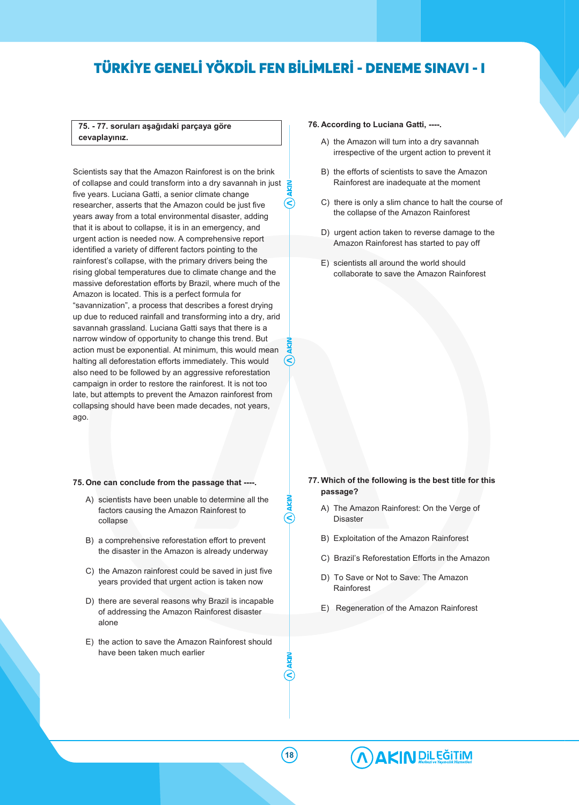### **75. - 77. soruları aşağıdaki parçaya göre cevaplayınız.**

Scientists say that the Amazon Rainforest is on the brink of collapse and could transform into a dry savannah in just  $\geq$ five years. Luciana Gatti, a senior climate change ⊲ researcher, asserts that the Amazon could be just five years away from a total environmental disaster, adding that it is about to collapse, it is in an emergency, and urgent action is needed now. A comprehensive report identified a variety of different factors pointing to the rainforest's collapse, with the primary drivers being the rising global temperatures due to climate change and the massive deforestation efforts by Brazil, where much of the Amazon is located. This is a perfect formula for "savannization", a process that describes a forest drying up due to reduced rainfall and transforming into a dry, arid savannah grassland. Luciana Gatti says that there is a narrow window of opportunity to change this trend. But action must be exponential. At minimum, this would mean ′€ halting all deforestation efforts immediately. This would also need to be followed by an aggressive reforestation campaign in order to restore the rainforest. It is not too late, but attempts to prevent the Amazon rainforest from collapsing should have been made decades, not years, ago.

### **75. One can conclude from the passage that ----.**

- A) scientists have been unable to determine all the factors causing the Amazon Rainforest to collapse
- B) a comprehensive reforestation effort to prevent the disaster in the Amazon is already underway
- C) the Amazon rainforest could be saved in just five years provided that urgent action is taken now
- D) there are several reasons why Brazil is incapable of addressing the Amazon Rainforest disaster alone
- E) the action to save the Amazon Rainforest should have been taken much earlier

### **76. According to Luciana Gatti, ----.**

- A) the Amazon will turn into a dry savannah irrespective of the urgent action to prevent it
- B) the efforts of scientists to save the Amazon Rainforest are inadequate at the moment
- C) there is only a slim chance to halt the course of the collapse of the Amazon Rainforest
- D) urgent action taken to reverse damage to the Amazon Rainforest has started to pay off
- E) scientists all around the world should collaborate to save the Amazon Rainforest

### **77. Which of the following is the best title for this passage?**

- A) The Amazon Rainforest: On the Verge of Disaster
- B) Exploitation of the Amazon Rainforest
- C) Brazil's Reforestation Efforts in the Amazon
- D) To Save or Not to Save: The Amazon Rainforest
- E) Regeneration of the Amazon Rainforest

**18**

 $(\widehat{\textbf{C}}% )^{1/2}=\widehat{\textbf{C}}\times \widehat{\textbf{C}}^{1/2}$ 

୧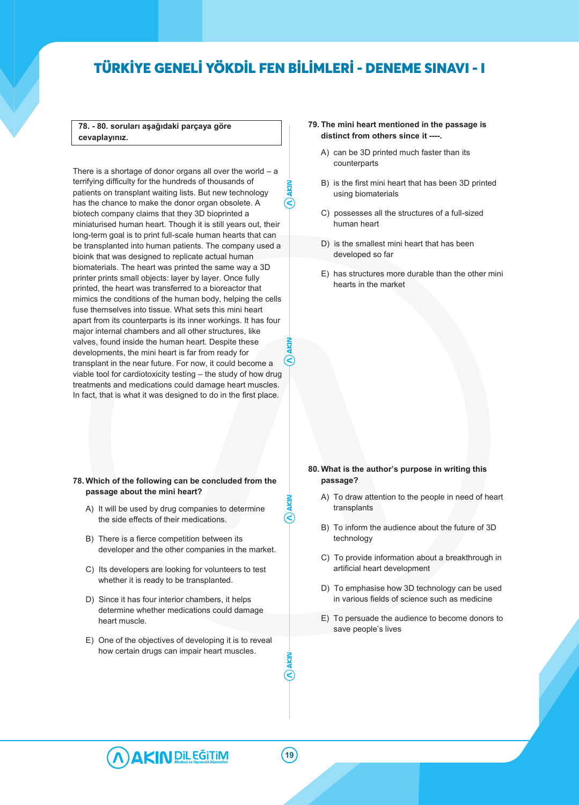**78. - 80. soruları aşağıdaki parçaya göre cevaplayınız.**

There is a shortage of donor organs all over the world  $-$  a terrifying difficulty for the hundreds of thousands of patients on transplant waiting lists. But new technology has the chance to make the donor organ obsolete. A biotech company claims that they 3D bioprinted a miniaturised human heart. Though it is still years out, their long-term goal is to print full-scale human hearts that can be transplanted into human patients. The company used a bioink that was designed to replicate actual human biomaterials. The heart was printed the same way a 3D printer prints small objects: layer by layer. Once fully printed, the heart was transferred to a bioreactor that mimics the conditions of the human body, helping the cells fuse themselves into tissue. What sets this mini heart apart from its counterparts is its inner workings. It has four major internal chambers and all other structures, like valves, found inside the human heart. Despite these developments, the mini heart is far from ready for transplant in the near future. For now, it could become a viable tool for cardiotoxicity testing – the study of how drug treatments and medications could damage heart muscles. In fact, that is what it was designed to do in the first place.

### **78. Which of the following can be concluded from the passage about the mini heart?**

- A) It will be used by drug companies to determine the side effects of their medications.
- B) There is a fierce competition between its developer and the other companies in the market.
- C) Its developers are looking for volunteers to test whether it is ready to be transplanted.
- D) Since it has four interior chambers, it helps determine whether medications could damage heart muscle.
- E) One of the objectives of developing it is to reveal how certain drugs can impair heart muscles.
- **79. The mini heart mentioned in the passage is distinct from others since it ----.**
	- A) can be 3D printed much faster than its counterparts
	- B) is the first mini heart that has been 3D printed using biomaterials
	- C) possesses all the structures of a full-sized human heart
	- D) is the smallest mini heart that has been developed so far
	- E) has structures more durable than the other mini hearts in the market

### **80. What is the author's purpose in writing this passage?**

- A) To draw attention to the people in need of heart transplants
- B) To inform the audience about the future of 3D technology
- C) To provide information about a breakthrough in artificial heart development
- D) To emphasise how 3D technology can be used in various fields of science such as medicine
- E) To persuade the audience to become donors to save people's lives



S